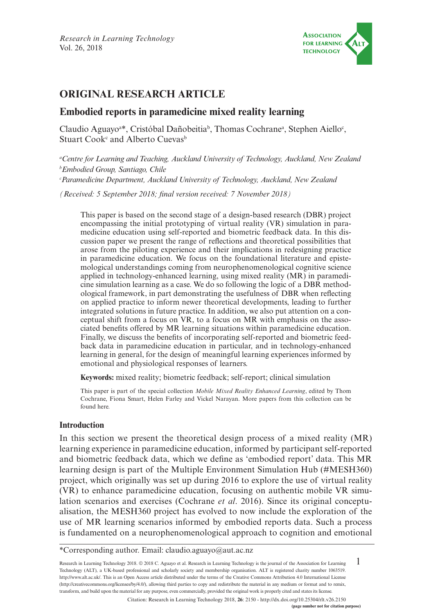

# **ORIGINAL RESEARCH ARTICLE**

## **Embodied reports in paramedicine mixed reality learning**

Claudio Aguayo<sup>a\*</sup>, Cristóbal Dañobeitia<sup>b</sup>, Thomas Cochrane<sup>a</sup>, Stephen Aiello<sup>c</sup>, Stuart Cook<sup>c</sup> and Alberto Cuevas<sup>b</sup>

*a Centre for Learning and Teaching, Auckland University of Technology, Auckland, New Zealand b Embodied Group, Santiago, Chile*

*c Paramedicine Department, Auckland University of Technology, Auckland, New Zealand*

*(Received: 5 September 2018; final version received: 7 November 2018)*

This paper is based on the second stage of a design-based research (DBR) project encompassing the initial prototyping of virtual reality (VR) simulation in paramedicine education using self-reported and biometric feedback data. In this discussion paper we present the range of reflections and theoretical possibilities that arose from the piloting experience and their implications in redesigning practice in paramedicine education. We focus on the foundational literature and epistemological understandings coming from neurophenomenological cognitive science applied in technology-enhanced learning, using mixed reality (MR) in paramedicine simulation learning as a case. We do so following the logic of a DBR methodological framework, in part demonstrating the usefulness of DBR when reflecting on applied practice to inform newer theoretical developments, leading to further integrated solutions in future practice. In addition, we also put attention on a conceptual shift from a focus on VR, to a focus on MR with emphasis on the associated benefits offered by MR learning situations within paramedicine education. Finally, we discuss the benefits of incorporating self-reported and biometric feedback data in paramedicine education in particular, and in technology-enhanced learning in general, for the design of meaningful learning experiences informed by emotional and physiological responses of learners.

**Keywords:** mixed reality; biometric feedback; self-report; clinical simulation

This paper is part of the special collection *Mobile Mixed Reality Enhanced Learning*, edited by Thom Cochrane, Fiona Smart, Helen Farley and Vickel Narayan. More papers from this collection can be found [here.](https://journal.alt.ac.uk/index.php/rlt/pages/view/collections)

### **Introduction**

In this section we present the theoretical design process of a mixed reality (MR) learning experience in paramedicine education, informed by participant self-reported and biometric feedback data, which we define as 'embodied report' data. This MR learning design is part of the Multiple Environment Simulation Hub (#MESH360) project, which originally was set up during 2016 to explore the use of virtual reality (VR) to enhance paramedicine education, focusing on authentic mobile VR simulation scenarios and exercises (Cochrane *et al*. 2016). Since its original conceptualisation, the MESH360 project has evolved to now include the exploration of the use of MR learning scenarios informed by embodied reports data. Such a process is fundamented on a neurophenomenological approach to cognition and emotional

1 Research in Learning Technology 2018. © 2018 C. Aguayo et al. Research in Learning Technology is the journal of the Association for Learning Technology (ALT), a UK-based professional and scholarly society and membership organisation. ALT is registered charity number 1063519. [http://www.alt.ac.uk/.](http://www.alt.ac.uk/) This is an Open Access article distributed under the terms of the Creative Commons Attribution 4.0 International License (<http://creativecommons.org/licenses/by/4.0/>), allowing third parties to copy and redistribute the material in any medium or format and to remix, transform, and build upon the material for any purpose, even commercially, provided the original work is properly cited and states its license.

<sup>\*</sup>Corresponding author. Email: [claudio.aguayo@aut.ac.nz](mailto:claudio.aguayo@aut.ac.nz)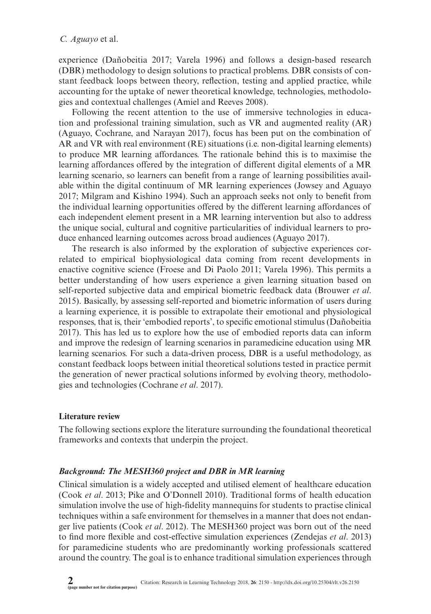experience (Dañobeitia 2017; Varela 1996) and follows a design-based research (DBR) methodology to design solutions to practical problems. DBR consists of constant feedback loops between theory, reflection, testing and applied practice, while accounting for the uptake of newer theoretical knowledge, technologies, methodologies and contextual challenges (Amiel and Reeves 2008).

Following the recent attention to the use of immersive technologies in education and professional training simulation, such as VR and augmented reality (AR) (Aguayo, Cochrane, and Narayan 2017), focus has been put on the combination of AR and VR with real environment (RE) situations (i.e. non-digital learning elements) to produce MR learning affordances. The rationale behind this is to maximise the learning affordances offered by the integration of different digital elements of a MR learning scenario, so learners can benefit from a range of learning possibilities available within the digital continuum of MR learning experiences (Jowsey and Aguayo 2017; Milgram and Kishino 1994). Such an approach seeks not only to benefit from the individual learning opportunities offered by the different learning affordances of each independent element present in a MR learning intervention but also to address the unique social, cultural and cognitive particularities of individual learners to produce enhanced learning outcomes across broad audiences (Aguayo 2017).

The research is also informed by the exploration of subjective experiences correlated to empirical biophysiological data coming from recent developments in enactive cognitive science (Froese and Di Paolo 2011; Varela 1996). This permits a better understanding of how users experience a given learning situation based on self-reported subjective data and empirical biometric feedback data (Brouwer *et al*. 2015). Basically, by assessing self-reported and biometric information of users during a learning experience, it is possible to extrapolate their emotional and physiological responses, that is, their 'embodied reports', to specific emotional stimulus (Dañobeitia 2017). This has led us to explore how the use of embodied reports data can inform and improve the redesign of learning scenarios in paramedicine education using MR learning scenarios. For such a data-driven process, DBR is a useful methodology, as constant feedback loops between initial theoretical solutions tested in practice permit the generation of newer practical solutions informed by evolving theory, methodologies and technologies (Cochrane *et al*. 2017).

### **Literature review**

The following sections explore the literature surrounding the foundational theoretical frameworks and contexts that underpin the project.

### *Background: The MESH360 project and DBR in MR learning*

Clinical simulation is a widely accepted and utilised element of healthcare education (Cook *et al*. 2013; Pike and O'Donnell 2010). Traditional forms of health education simulation involve the use of high-fidelity mannequins for students to practise clinical techniques within a safe environment for themselves in a manner that does not endanger live patients (Cook *et al*. 2012). The MESH360 project was born out of the need to find more flexible and cost-effective simulation experiences (Zendejas *et al*. 2013) for paramedicine students who are predominantly working professionals scattered around the country. The goal is to enhance traditional simulation experiences through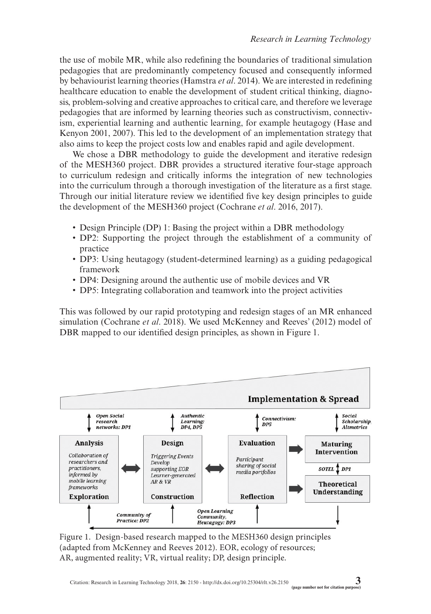the use of mobile MR, while also redefining the boundaries of traditional simulation pedagogies that are predominantly competency focused and consequently informed by behaviourist learning theories (Hamstra *et al*. 2014). We are interested in redefining healthcare education to enable the development of student critical thinking, diagnosis, problem-solving and creative approaches to critical care, and therefore we leverage pedagogies that are informed by learning theories such as constructivism, connectivism, experiential learning and authentic learning, for example heutagogy (Hase and Kenyon 2001, 2007). This led to the development of an implementation strategy that also aims to keep the project costs low and enables rapid and agile development.

We chose a DBR methodology to guide the development and iterative redesign of the MESH360 project. DBR provides a structured iterative four-stage approach to curriculum redesign and critically informs the integration of new technologies into the curriculum through a thorough investigation of the literature as a first stage. Through our initial literature review we identified five key design principles to guide the development of the MESH360 project (Cochrane *et al*. 2016, 2017).

- Design Principle (DP) 1: Basing the project within a DBR methodology
- DP2: Supporting the project through the establishment of a community of practice
- DP3: Using heutagogy (student-determined learning) as a guiding pedagogical framework
- DP4: Designing around the authentic use of mobile devices and VR
- DP5: Integrating collaboration and teamwork into the project activities

This was followed by our rapid prototyping and redesign stages of an MR enhanced simulation (Cochrane *et al*. 2018). We used McKenney and Reeves' (2012) model of DBR mapped to our identified design principles, as shown in Figure 1.



Figure 1. Design-based research mapped to the MESH360 design principles (adapted from McKenney and Reeves 2012). EOR, ecology of resources; AR, augmented reality; VR, virtual reality; DP, design principle.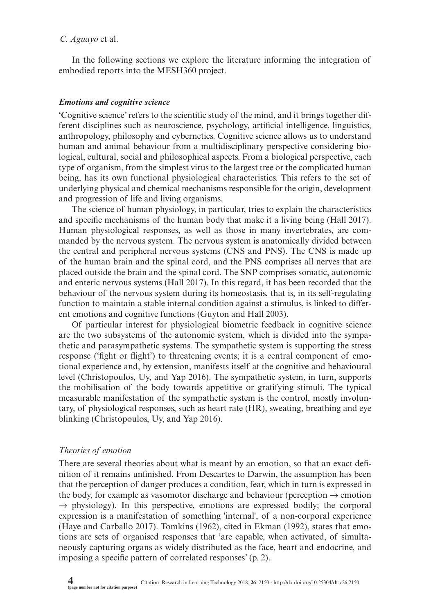In the following sections we explore the literature informing the integration of embodied reports into the MESH360 project.

### *Emotions and cognitive science*

'Cognitive science' refers to the scientific study of the mind, and it brings together different disciplines such as neuroscience, psychology, artificial intelligence, linguistics, anthropology, philosophy and cybernetics. Cognitive science allows us to understand human and animal behaviour from a multidisciplinary perspective considering biological, cultural, social and philosophical aspects. From a biological perspective, each type of organism, from the simplest virus to the largest tree or the complicated human being, has its own functional physiological characteristics. This refers to the set of underlying physical and chemical mechanisms responsible for the origin, development and progression of life and living organisms.

The science of human physiology, in particular, tries to explain the characteristics and specific mechanisms of the human body that make it a living being (Hall 2017). Human physiological responses, as well as those in many invertebrates, are commanded by the nervous system. The nervous system is anatomically divided between the central and peripheral nervous systems (CNS and PNS). The CNS is made up of the human brain and the spinal cord, and the PNS comprises all nerves that are placed outside the brain and the spinal cord. The SNP comprises somatic, autonomic and enteric nervous systems (Hall 2017). In this regard, it has been recorded that the behaviour of the nervous system during its homeostasis, that is, in its self-regulating function to maintain a stable internal condition against a stimulus, is linked to different emotions and cognitive functions (Guyton and Hall 2003).

Of particular interest for physiological biometric feedback in cognitive science are the two subsystems of the autonomic system, which is divided into the sympathetic and parasympathetic systems. The sympathetic system is supporting the stress response ('fight or flight') to threatening events; it is a central component of emotional experience and, by extension, manifests itself at the cognitive and behavioural level (Christopoulos, Uy, and Yap 2016). The sympathetic system, in turn, supports the mobilisation of the body towards appetitive or gratifying stimuli. The typical measurable manifestation of the sympathetic system is the control, mostly involuntary, of physiological responses, such as heart rate (HR), sweating, breathing and eye blinking (Christopoulos, Uy, and Yap 2016).

### *Theories of emotion*

There are several theories about what is meant by an emotion, so that an exact definition of it remains unfinished. From Descartes to Darwin, the assumption has been that the perception of danger produces a condition, fear, which in turn is expressed in the body, for example as vasomotor discharge and behaviour (perception  $\rightarrow$  emotion  $\rightarrow$  physiology). In this perspective, emotions are expressed bodily; the corporal expression is a manifestation of something 'internal', of a non-corporal experience (Haye and Carballo 2017). Tomkins (1962), cited in Ekman (1992), states that emotions are sets of organised responses that 'are capable, when activated, of simultaneously capturing organs as widely distributed as the face, heart and endocrine, and imposing a specific pattern of correlated responses' (p. 2).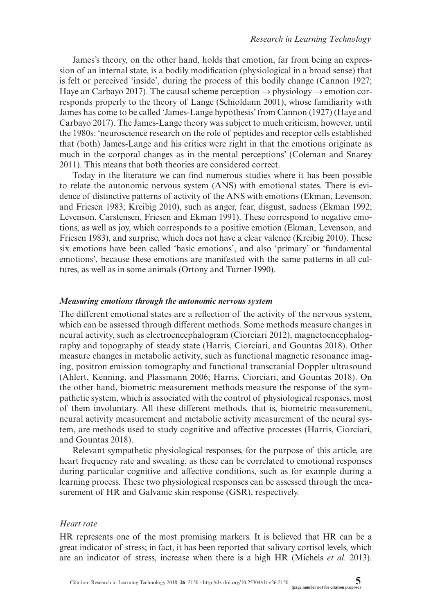James's theory, on the other hand, holds that emotion, far from being an expression of an internal state, is a bodily modification (physiological in a broad sense) that is felt or perceived 'inside', during the process of this bodily change (Cannon 1927; Haye an Carbayo 2017). The causal scheme perception  $\rightarrow$  physiology  $\rightarrow$  emotion corresponds properly to the theory of Lange (Schioldann 2001), whose familiarity with James has come to be called 'James-Lange hypothesis' from Cannon (1927) (Haye and Carbayo 2017). The James-Lange theory was subject to much criticism, however, until the 1980s: 'neuroscience research on the role of peptides and receptor cells established that (both) James-Lange and his critics were right in that the emotions originate as much in the corporal changes as in the mental perceptions' (Coleman and Snarey 2011). This means that both theories are considered correct.

Today in the literature we can find numerous studies where it has been possible to relate the autonomic nervous system (ANS) with emotional states. There is evidence of distinctive patterns of activity of the ANS with emotions (Ekman, Levenson, and Friesen 1983; Kreibig 2010), such as anger, fear, disgust, sadness (Ekman 1992; Levenson, Carstensen, Friesen and Ekman 1991). These correspond to negative emotions, as well as joy, which corresponds to a positive emotion (Ekman, Levenson, and Friesen 1983), and surprise, which does not have a clear valence (Kreibig 2010). These six emotions have been called 'basic emotions', and also 'primary' or 'fundamental emotions', because these emotions are manifested with the same patterns in all cultures, as well as in some animals (Ortony and Turner 1990).

#### *Measuring emotions through the autonomic nervous system*

The different emotional states are a reflection of the activity of the nervous system, which can be assessed through different methods. Some methods measure changes in neural activity, such as electroencephalogram (Ciorciari 2012), magnetoencephalography and topography of steady state (Harris, Ciorciari, and Gountas 2018). Other measure changes in metabolic activity, such as functional magnetic resonance imaging, positron emission tomography and functional transcranial Doppler ultrasound (Ahlert, Kenning, and Plassmann 2006; Harris, Ciorciari, and Gountas 2018). On the other hand, biometric measurement methods measure the response of the sympathetic system, which is associated with the control of physiological responses, most of them involuntary. All these different methods, that is, biometric measurement, neural activity measurement and metabolic activity measurement of the neural system, are methods used to study cognitive and affective processes (Harris, Ciorciari, and Gountas 2018).

Relevant sympathetic physiological responses, for the purpose of this article, are heart frequency rate and sweating, as these can be correlated to emotional responses during particular cognitive and affective conditions, such as for example during a learning process. These two physiological responses can be assessed through the measurement of HR and Galvanic skin response (GSR), respectively.

#### *Heart rate*

HR represents one of the most promising markers. It is believed that HR can be a great indicator of stress; in fact, it has been reported that salivary cortisol levels, which are an indicator of stress, increase when there is a high HR (Michels *et al*. 2013).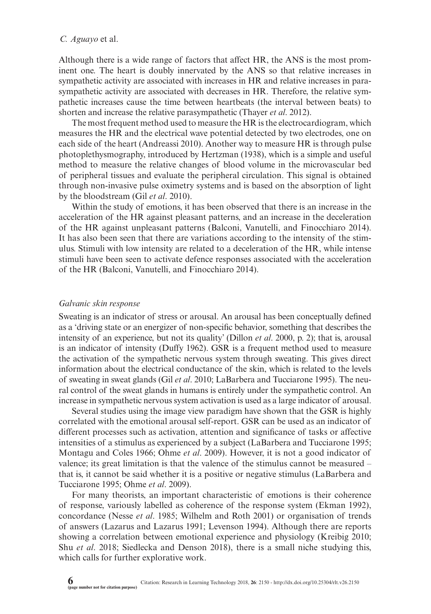Although there is a wide range of factors that affect HR, the ANS is the most prominent one. The heart is doubly innervated by the ANS so that relative increases in sympathetic activity are associated with increases in HR and relative increases in parasympathetic activity are associated with decreases in HR. Therefore, the relative sympathetic increases cause the time between heartbeats (the interval between beats) to shorten and increase the relative parasympathetic (Thayer *et al*. 2012).

The most frequent method used to measure the HR is the electrocardiogram, which measures the HR and the electrical wave potential detected by two electrodes, one on each side of the heart (Andreassi 2010). Another way to measure HR is through pulse photoplethysmography, introduced by Hertzman (1938), which is a simple and useful method to measure the relative changes of blood volume in the microvascular bed of peripheral tissues and evaluate the peripheral circulation. This signal is obtained through non-invasive pulse oximetry systems and is based on the absorption of light by the bloodstream (Gil *et al*. 2010).

Within the study of emotions, it has been observed that there is an increase in the acceleration of the HR against pleasant patterns, and an increase in the deceleration of the HR against unpleasant patterns (Balconi, Vanutelli, and Finocchiaro 2014). It has also been seen that there are variations according to the intensity of the stimulus. Stimuli with low intensity are related to a deceleration of the HR, while intense stimuli have been seen to activate defence responses associated with the acceleration of the HR (Balconi, Vanutelli, and Finocchiaro 2014).

#### *Galvanic skin response*

Sweating is an indicator of stress or arousal. An arousal has been conceptually defined as a 'driving state or an energizer of non-specific behavior, something that describes the intensity of an experience, but not its quality' (Dillon *et al*. 2000, p. 2); that is, arousal is an indicator of intensity (Duffy 1962). GSR is a frequent method used to measure the activation of the sympathetic nervous system through sweating. This gives direct information about the electrical conductance of the skin, which is related to the levels of sweating in sweat glands (Gil *et al*. 2010; LaBarbera and Tucciarone 1995). The neural control of the sweat glands in humans is entirely under the sympathetic control. An increase in sympathetic nervous system activation is used as a large indicator of arousal.

Several studies using the image view paradigm have shown that the GSR is highly correlated with the emotional arousal self-report. GSR can be used as an indicator of different processes such as activation, attention and significance of tasks or affective intensities of a stimulus as experienced by a subject (LaBarbera and Tucciarone 1995; Montagu and Coles 1966; Ohme *et al*. 2009). However, it is not a good indicator of valence; its great limitation is that the valence of the stimulus cannot be measured – that is, it cannot be said whether it is a positive or negative stimulus (LaBarbera and Tucciarone 1995; Ohme *et al*. 2009).

For many theorists, an important characteristic of emotions is their coherence of response, variously labelled as coherence of the response system (Ekman 1992), concordance (Nesse *et al*. 1985; Wilhelm and Roth 2001) or organisation of trends of answers (Lazarus and Lazarus 1991; Levenson 1994). Although there are reports showing a correlation between emotional experience and physiology (Kreibig 2010; Shu *et al*. 2018; Siedlecka and Denson 2018), there is a small niche studying this, which calls for further explorative work.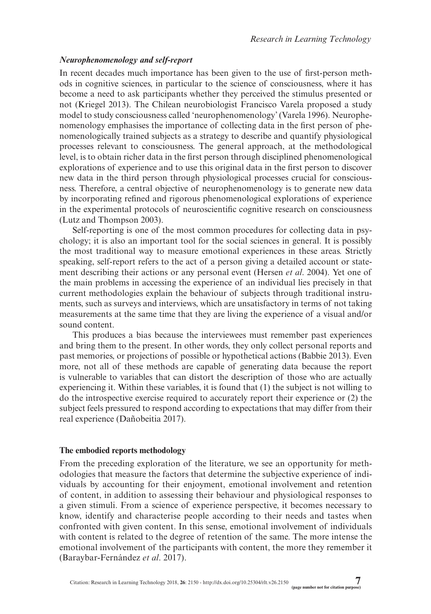### *Neurophenomenology and self-report*

In recent decades much importance has been given to the use of first-person methods in cognitive sciences, in particular to the science of consciousness, where it has become a need to ask participants whether they perceived the stimulus presented or not (Kriegel 2013). The Chilean neurobiologist Francisco Varela proposed a study model to study consciousness called 'neurophenomenology' (Varela 1996). Neurophenomenology emphasises the importance of collecting data in the first person of phenomenologically trained subjects as a strategy to describe and quantify physiological processes relevant to consciousness. The general approach, at the methodological level, is to obtain richer data in the first person through disciplined phenomenological explorations of experience and to use this original data in the first person to discover new data in the third person through physiological processes crucial for consciousness. Therefore, a central objective of neurophenomenology is to generate new data by incorporating refined and rigorous phenomenological explorations of experience in the experimental protocols of neuroscientific cognitive research on consciousness (Lutz and Thompson 2003).

Self-reporting is one of the most common procedures for collecting data in psychology; it is also an important tool for the social sciences in general. It is possibly the most traditional way to measure emotional experiences in these areas. Strictly speaking, self-report refers to the act of a person giving a detailed account or statement describing their actions or any personal event (Hersen *et al*. 2004). Yet one of the main problems in accessing the experience of an individual lies precisely in that current methodologies explain the behaviour of subjects through traditional instruments, such as surveys and interviews, which are unsatisfactory in terms of not taking measurements at the same time that they are living the experience of a visual and/or sound content.

This produces a bias because the interviewees must remember past experiences and bring them to the present. In other words, they only collect personal reports and past memories, or projections of possible or hypothetical actions (Babbie 2013). Even more, not all of these methods are capable of generating data because the report is vulnerable to variables that can distort the description of those who are actually experiencing it. Within these variables, it is found that (1) the subject is not willing to do the introspective exercise required to accurately report their experience or (2) the subject feels pressured to respond according to expectations that may differ from their real experience (Dañobeitia 2017).

#### **The embodied reports methodology**

From the preceding exploration of the literature, we see an opportunity for methodologies that measure the factors that determine the subjective experience of individuals by accounting for their enjoyment, emotional involvement and retention of content, in addition to assessing their behaviour and physiological responses to a given stimuli. From a science of experience perspective, it becomes necessary to know, identify and characterise people according to their needs and tastes when confronted with given content. In this sense, emotional involvement of individuals with content is related to the degree of retention of the same. The more intense the emotional involvement of the participants with content, the more they remember it (Baraybar-Fernández *et al*. 2017).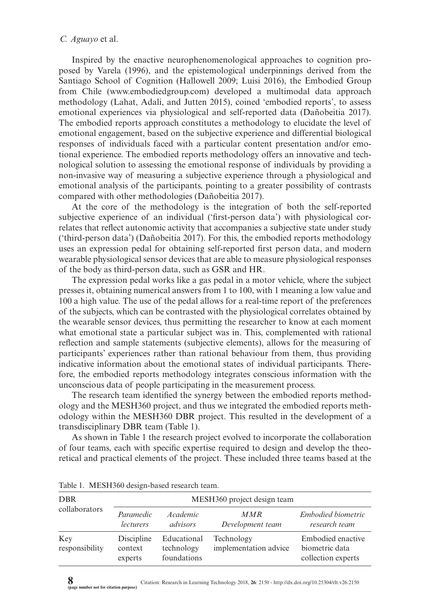Inspired by the enactive neurophenomenological approaches to cognition proposed by Varela (1996), and the epistemological underpinnings derived from the Santiago School of Cognition (Hallowell 2009; Luisi 2016), the Embodied Group from Chile (<www.embodiedgroup.com>) developed a multimodal data approach methodology (Lahat, Adali, and Jutten 2015), coined 'embodied reports', to assess emotional experiences via physiological and self-reported data (Dañobeitia 2017). The embodied reports approach constitutes a methodology to elucidate the level of emotional engagement, based on the subjective experience and differential biological responses of individuals faced with a particular content presentation and/or emotional experience. The embodied reports methodology offers an innovative and technological solution to assessing the emotional response of individuals by providing a non-invasive way of measuring a subjective experience through a physiological and emotional analysis of the participants, pointing to a greater possibility of contrasts compared with other methodologies (Dañobeitia 2017).

At the core of the methodology is the integration of both the self-reported subjective experience of an individual ('first-person data') with physiological correlates that reflect autonomic activity that accompanies a subjective state under study ('third-person data') (Dañobeitia 2017). For this, the embodied reports methodology uses an expression pedal for obtaining self-reported first person data, and modern wearable physiological sensor devices that are able to measure physiological responses of the body as third-person data, such as GSR and HR.

The expression pedal works like a gas pedal in a motor vehicle, where the subject presses it, obtaining numerical answers from 1 to 100, with 1 meaning a low value and 100 a high value. The use of the pedal allows for a real-time report of the preferences of the subjects, which can be contrasted with the physiological correlates obtained by the wearable sensor devices, thus permitting the researcher to know at each moment what emotional state a particular subject was in. This, complemented with rational reflection and sample statements (subjective elements), allows for the measuring of participants' experiences rather than rational behaviour from them, thus providing indicative information about the emotional states of individual participants. Therefore, the embodied reports methodology integrates conscious information with the unconscious data of people participating in the measurement process.

The research team identified the synergy between the embodied reports methodology and the MESH360 project, and thus we integrated the embodied reports methodology within the MESH360 DBR project. This resulted in the development of a transdisciplinary DBR team (Table 1).

As shown in Table 1 the research project evolved to incorporate the collaboration of four teams, each with specific expertise required to design and develop the theoretical and practical elements of the project. These included three teams based at the

| <b>DBR</b><br>collaborators | MESH360 project design team      |                                          |                                     |                                                           |
|-----------------------------|----------------------------------|------------------------------------------|-------------------------------------|-----------------------------------------------------------|
|                             | Paramedic<br><i>lecturers</i>    | <i>Academic</i><br>advisors              | MMR<br>Development team             | Embodied biometric<br>research team                       |
| Key<br>responsibility       | Discipline<br>context<br>experts | Educational<br>technology<br>foundations | Technology<br>implementation advice | Embodied enactive<br>biometric data<br>collection experts |

Table 1. MESH360 design-based research team.

**8** Citation: Research in Learning Technology 2018, **26**: 2150 -<http://dx.doi.org/10.25304/rlt.v26.2150> **(page number not for citation purpose)**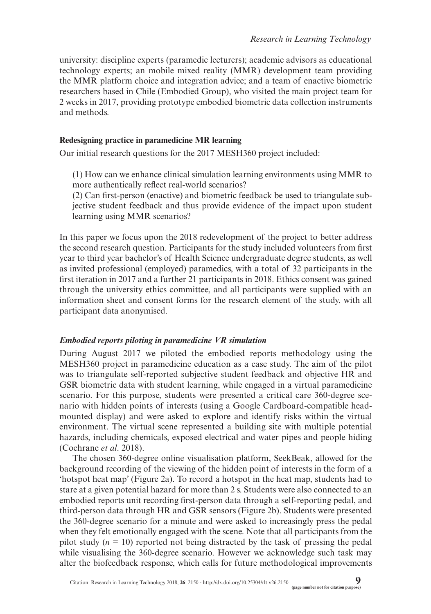university: discipline experts (paramedic lecturers); academic advisors as educational technology experts; an mobile mixed reality (MMR) development team providing the MMR platform choice and integration advice; and a team of enactive biometric researchers based in Chile (Embodied Group), who visited the main project team for 2 weeks in 2017, providing prototype embodied biometric data collection instruments and methods.

### **Redesigning practice in paramedicine MR learning**

Our initial research questions for the 2017 MESH360 project included:

(1) How can we enhance clinical simulation learning environments using MMR to more authentically reflect real-world scenarios?

(2) Can first-person (enactive) and biometric feedback be used to triangulate subjective student feedback and thus provide evidence of the impact upon student learning using MMR scenarios?

In this paper we focus upon the 2018 redevelopment of the project to better address the second research question. Participants for the study included volunteers from first year to third year bachelor's of Health Science undergraduate degree students, as well as invited professional (employed) paramedics, with a total of 32 participants in the first iteration in 2017 and a further 21 participants in 2018. Ethics consent was gained through the university ethics committee, and all participants were supplied with an information sheet and consent forms for the research element of the study, with all participant data anonymised.

### *Embodied reports piloting in paramedicine VR simulation*

During August 2017 we piloted the embodied reports methodology using the MESH360 project in paramedicine education as a case study. The aim of the pilot was to triangulate self-reported subjective student feedback and objective HR and GSR biometric data with student learning, while engaged in a virtual paramedicine scenario. For this purpose, students were presented a critical care 360-degree scenario with hidden points of interests (using a Google Cardboard-compatible headmounted display) and were asked to explore and identify risks within the virtual environment. The virtual scene represented a building site with multiple potential hazards, including chemicals, exposed electrical and water pipes and people hiding (Cochrane *et al*. 2018).

The chosen 360-degree online visualisation platform, SeekBeak, allowed for the background recording of the viewing of the hidden point of interests in the form of a 'hotspot heat map' (Figure 2a). To record a hotspot in the heat map, students had to stare at a given potential hazard for more than 2 s. Students were also connected to an embodied reports unit recording first-person data through a self-reporting pedal, and third-person data through HR and GSR sensors (Figure 2b). Students were presented the 360-degree scenario for a minute and were asked to increasingly press the pedal when they felt emotionally engaged with the scene. Note that all participants from the pilot study  $(n = 10)$  reported not being distracted by the task of pressing the pedal while visualising the 360-degree scenario. However we acknowledge such task may alter the biofeedback response, which calls for future methodological improvements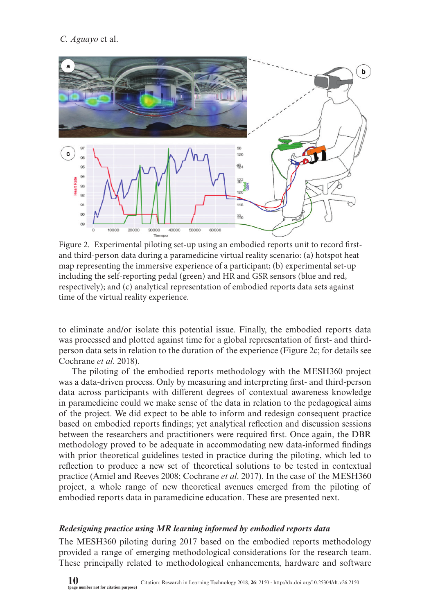

Figure 2. Experimental piloting set-up using an embodied reports unit to record firstand third-person data during a paramedicine virtual reality scenario: (a) hotspot heat map representing the immersive experience of a participant; (b) experimental set-up including the self-reporting pedal (green) and HR and GSR sensors (blue and red, respectively); and (c) analytical representation of embodied reports data sets against time of the virtual reality experience.

to eliminate and/or isolate this potential issue. Finally, the embodied reports data was processed and plotted against time for a global representation of first- and thirdperson data sets in relation to the duration of the experience (Figure 2c; for details see Cochrane *et al*. 2018).

The piloting of the embodied reports methodology with the MESH360 project was a data-driven process. Only by measuring and interpreting first- and third-person data across participants with different degrees of contextual awareness knowledge in paramedicine could we make sense of the data in relation to the pedagogical aims of the project. We did expect to be able to inform and redesign consequent practice based on embodied reports findings; yet analytical reflection and discussion sessions between the researchers and practitioners were required first. Once again, the DBR methodology proved to be adequate in accommodating new data-informed findings with prior theoretical guidelines tested in practice during the piloting, which led to reflection to produce a new set of theoretical solutions to be tested in contextual practice (Amiel and Reeves 2008; Cochrane *et al*. 2017). In the case of the MESH360 project, a whole range of new theoretical avenues emerged from the piloting of embodied reports data in paramedicine education. These are presented next.

### *Redesigning practice using MR learning informed by embodied reports data*

The MESH360 piloting during 2017 based on the embodied reports methodology provided a range of emerging methodological considerations for the research team. These principally related to methodological enhancements, hardware and software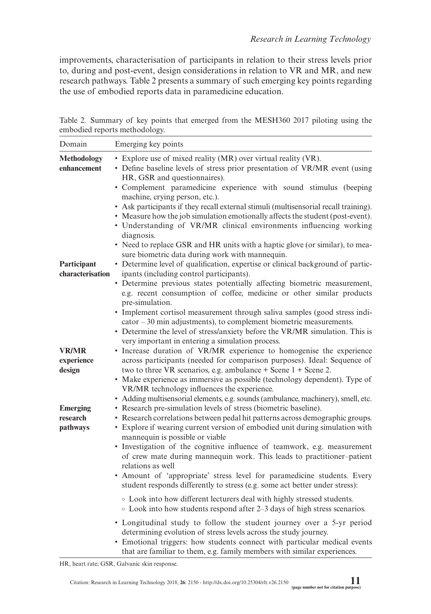improvements, characterisation of participants in relation to their stress levels prior to, during and post-event, design considerations in relation to VR and MR, and new research pathways. Table 2 presents a summary of such emerging key points regarding the use of embodied reports data in paramedicine education.

Table 2. Summary of key points that emerged from the MESH360 2017 piloting using the embodied reports methodology.

| Domain                                  | Emerging key points                                                                                                                                                                                                                                                                                                                                                                                                                                                                                                                                                                                                                                                                                                                                                                                                                                                                                                                                                                                                                                                     |
|-----------------------------------------|-------------------------------------------------------------------------------------------------------------------------------------------------------------------------------------------------------------------------------------------------------------------------------------------------------------------------------------------------------------------------------------------------------------------------------------------------------------------------------------------------------------------------------------------------------------------------------------------------------------------------------------------------------------------------------------------------------------------------------------------------------------------------------------------------------------------------------------------------------------------------------------------------------------------------------------------------------------------------------------------------------------------------------------------------------------------------|
| <b>Methodology</b><br>enhancement       | • Explore use of mixed reality (MR) over virtual reality (VR).<br>• Define baseline levels of stress prior presentation of VR/MR event (using<br>HR, GSR and questionnaires).<br>• Complement paramedicine experience with sound stimulus (beeping<br>machine, crying person, etc.).<br>• Ask participants if they recall external stimuli (multisensorial recall training).<br>• Measure how the job simulation emotionally affects the student (post-event).<br>• Understanding of VR/MR clinical environments influencing working<br>diagnosis.<br>• Need to replace GSR and HR units with a haptic glove (or similar), to mea-<br>sure biometric data during work with mannequin.                                                                                                                                                                                                                                                                                                                                                                                   |
| Participant<br>characterisation         | • Determine level of qualification, expertise or clinical background of partic-<br>ipants (including control participants).<br>• Determine previous states potentially affecting biometric measurement,<br>e.g. recent consumption of coffee, medicine or other similar products<br>pre-simulation.<br>• Implement cortisol measurement through saliva samples (good stress indi-<br>cator – 30 min adjustments), to complement biometric measurements.<br>• Determine the level of stress/anxiety before the VR/MR simulation. This is<br>very important in entering a simulation process.                                                                                                                                                                                                                                                                                                                                                                                                                                                                             |
| <b>VR/MR</b><br>experience<br>design    | • Increase duration of VR/MR experience to homogenise the experience<br>across participants (needed for comparison purposes). Ideal: Sequence of<br>two to three VR scenarios, e.g. ambulance $+$ Scene 1 $+$ Scene 2.<br>• Make experience as immersive as possible (technology dependent). Type of<br>VR/MR technology influences the experience.<br>• Adding multisensorial elements, e.g. sounds (ambulance, machinery), smell, etc.                                                                                                                                                                                                                                                                                                                                                                                                                                                                                                                                                                                                                                |
| <b>Emerging</b><br>research<br>pathways | • Research pre-simulation levels of stress (biometric baseline).<br>• Research correlations between pedal hit patterns across demographic groups.<br>• Explore if wearing current version of embodied unit during simulation with<br>mannequin is possible or viable<br>• Investigation of the cognitive influence of teamwork, e.g. measurement<br>of crew mate during mannequin work. This leads to practitioner-patient<br>relations as well<br>• Amount of 'appropriate' stress level for paramedicine students. Every<br>student responds differently to stress (e.g. some act better under stress):<br>• Look into how different lecturers deal with highly stressed students.<br>• Look into how students respond after 2–3 days of high stress scenarios.<br>• Longitudinal study to follow the student journey over a 5-yr period<br>determining evolution of stress levels across the study journey.<br>• Emotional triggers: how students connect with particular medical events<br>that are familiar to them, e.g. family members with similar experiences. |

HR, heart rate; GSR, Galvanic skin response.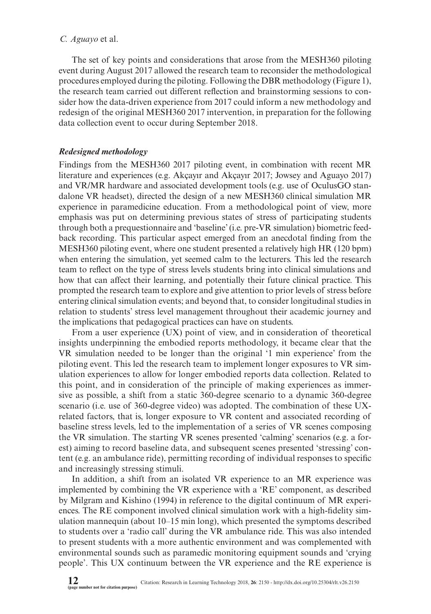The set of key points and considerations that arose from the MESH360 piloting event during August 2017 allowed the research team to reconsider the methodological procedures employed during the piloting. Following the DBR methodology (Figure 1), the research team carried out different reflection and brainstorming sessions to consider how the data-driven experience from 2017 could inform a new methodology and redesign of the original MESH360 2017 intervention, in preparation for the following data collection event to occur during September 2018.

### *Redesigned methodology*

Findings from the MESH360 2017 piloting event, in combination with recent MR literature and experiences (e.g. Akçayır and Akçayır 2017; Jowsey and Aguayo 2017) and VR/MR hardware and associated development tools (e.g. use of OculusGO standalone VR headset), directed the design of a new MESH360 clinical simulation MR experience in paramedicine education. From a methodological point of view, more emphasis was put on determining previous states of stress of participating students through both a prequestionnaire and 'baseline' (i.e. pre-VR simulation) biometric feedback recording. This particular aspect emerged from an anecdotal finding from the MESH360 piloting event, where one student presented a relatively high HR (120 bpm) when entering the simulation, yet seemed calm to the lecturers. This led the research team to reflect on the type of stress levels students bring into clinical simulations and how that can affect their learning, and potentially their future clinical practice. This prompted the research team to explore and give attention to prior levels of stress before entering clinical simulation events; and beyond that, to consider longitudinal studies in relation to students' stress level management throughout their academic journey and the implications that pedagogical practices can have on students.

From a user experience (UX) point of view, and in consideration of theoretical insights underpinning the embodied reports methodology, it became clear that the VR simulation needed to be longer than the original '1 min experience' from the piloting event. This led the research team to implement longer exposures to VR simulation experiences to allow for longer embodied reports data collection. Related to this point, and in consideration of the principle of making experiences as immersive as possible, a shift from a static 360-degree scenario to a dynamic 360-degree scenario (i.e. use of 360-degree video) was adopted. The combination of these UXrelated factors, that is, longer exposure to VR content and associated recording of baseline stress levels, led to the implementation of a series of VR scenes composing the VR simulation. The starting VR scenes presented 'calming' scenarios (e.g. a forest) aiming to record baseline data, and subsequent scenes presented 'stressing' content (e.g. an ambulance ride), permitting recording of individual responses to specific and increasingly stressing stimuli.

In addition, a shift from an isolated VR experience to an MR experience was implemented by combining the VR experience with a 'RE' component, as described by Milgram and Kishino (1994) in reference to the digital continuum of MR experiences. The RE component involved clinical simulation work with a high-fidelity simulation mannequin (about 10–15 min long), which presented the symptoms described to students over a 'radio call' during the VR ambulance ride. This was also intended to present students with a more authentic environment and was complemented with environmental sounds such as paramedic monitoring equipment sounds and 'crying people'. This UX continuum between the VR experience and the RE experience is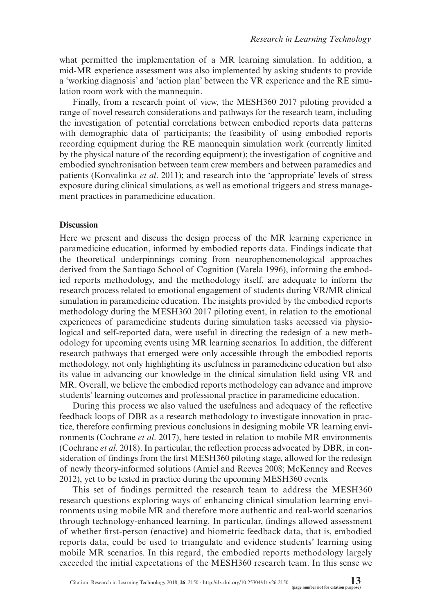what permitted the implementation of a MR learning simulation. In addition, a mid-MR experience assessment was also implemented by asking students to provide a 'working diagnosis' and 'action plan' between the VR experience and the RE simulation room work with the mannequin.

Finally, from a research point of view, the MESH360 2017 piloting provided a range of novel research considerations and pathways for the research team, including the investigation of potential correlations between embodied reports data patterns with demographic data of participants; the feasibility of using embodied reports recording equipment during the RE mannequin simulation work (currently limited by the physical nature of the recording equipment); the investigation of cognitive and embodied synchronisation between team crew members and between paramedics and patients (Konvalinka *et al*. 2011); and research into the 'appropriate' levels of stress exposure during clinical simulations, as well as emotional triggers and stress management practices in paramedicine education.

#### **Discussion**

Here we present and discuss the design process of the MR learning experience in paramedicine education, informed by embodied reports data. Findings indicate that the theoretical underpinnings coming from neurophenomenological approaches derived from the Santiago School of Cognition (Varela 1996), informing the embodied reports methodology, and the methodology itself, are adequate to inform the research process related to emotional engagement of students during VR/MR clinical simulation in paramedicine education. The insights provided by the embodied reports methodology during the MESH360 2017 piloting event, in relation to the emotional experiences of paramedicine students during simulation tasks accessed via physiological and self-reported data, were useful in directing the redesign of a new methodology for upcoming events using MR learning scenarios. In addition, the different research pathways that emerged were only accessible through the embodied reports methodology, not only highlighting its usefulness in paramedicine education but also its value in advancing our knowledge in the clinical simulation field using VR and MR. Overall, we believe the embodied reports methodology can advance and improve students' learning outcomes and professional practice in paramedicine education.

During this process we also valued the usefulness and adequacy of the reflective feedback loops of DBR as a research methodology to investigate innovation in practice, therefore confirming previous conclusions in designing mobile VR learning environments (Cochrane *et al*. 2017), here tested in relation to mobile MR environments (Cochrane *et al*. 2018). In particular, the reflection process advocated by DBR, in consideration of findings from the first MESH360 piloting stage, allowed for the redesign of newly theory-informed solutions (Amiel and Reeves 2008; McKenney and Reeves 2012), yet to be tested in practice during the upcoming MESH360 events.

This set of findings permitted the research team to address the MESH360 research questions exploring ways of enhancing clinical simulation learning environments using mobile MR and therefore more authentic and real-world scenarios through technology-enhanced learning. In particular, findings allowed assessment of whether first-person (enactive) and biometric feedback data, that is, embodied reports data, could be used to triangulate and evidence students' learning using mobile MR scenarios. In this regard, the embodied reports methodology largely exceeded the initial expectations of the MESH360 research team. In this sense we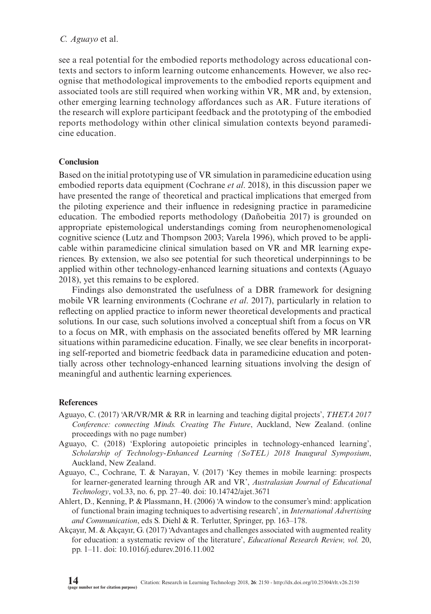see a real potential for the embodied reports methodology across educational contexts and sectors to inform learning outcome enhancements. However, we also recognise that methodological improvements to the embodied reports equipment and associated tools are still required when working within VR, MR and, by extension, other emerging learning technology affordances such as AR. Future iterations of the research will explore participant feedback and the prototyping of the embodied reports methodology within other clinical simulation contexts beyond paramedicine education.

### **Conclusion**

Based on the initial prototyping use of VR simulation in paramedicine education using embodied reports data equipment (Cochrane *et al*. 2018), in this discussion paper we have presented the range of theoretical and practical implications that emerged from the piloting experience and their influence in redesigning practice in paramedicine education. The embodied reports methodology (Dañobeitia 2017) is grounded on appropriate epistemological understandings coming from neurophenomenological cognitive science (Lutz and Thompson 2003; Varela 1996), which proved to be applicable within paramedicine clinical simulation based on VR and MR learning experiences. By extension, we also see potential for such theoretical underpinnings to be applied within other technology-enhanced learning situations and contexts (Aguayo 2018), yet this remains to be explored.

Findings also demonstrated the usefulness of a DBR framework for designing mobile VR learning environments (Cochrane *et al*. 2017), particularly in relation to reflecting on applied practice to inform newer theoretical developments and practical solutions. In our case, such solutions involved a conceptual shift from a focus on VR to a focus on MR, with emphasis on the associated benefits offered by MR learning situations within paramedicine education. Finally, we see clear benefits in incorporating self-reported and biometric feedback data in paramedicine education and potentially across other technology-enhanced learning situations involving the design of meaningful and authentic learning experiences.

### **References**

- Aguayo, C. (2017) 'AR/VR/MR & RR in learning and teaching digital projects', *THETA 2017 Conference: connecting Minds. Creating The Future*, Auckland, New Zealand. (online proceedings with no page number)
- Aguayo, C. (2018) 'Exploring autopoietic principles in technology-enhanced learning', *Scholarship of Technology-Enhanced Learning (SoTEL) 2018 Inaugural Symposium*, Auckland, New Zealand.
- Aguayo, C., Cochrane, T. & Narayan, V. (2017) 'Key themes in mobile learning: prospects for learner-generated learning through AR and VR', *Australasian Journal of Educational Technology*, vol.33, no. 6, pp. 27–40. doi: 10.14742/ajet.3671
- Ahlert, D., Kenning, P. & Plassmann, H. (2006) 'A window to the consumer's mind: application of functional brain imaging techniques to advertising research', in *International Advertising and Communication*, eds S. Diehl & R. Terlutter, Springer, pp. 163–178.
- Akçayır, M. & Akçayır, G. (2017) 'Advantages and challenges associated with augmented reality for education: a systematic review of the literature', *Educational Research Review, vol.* 20, pp. 1–11. doi: 10.1016/j.edurev.2016.11.002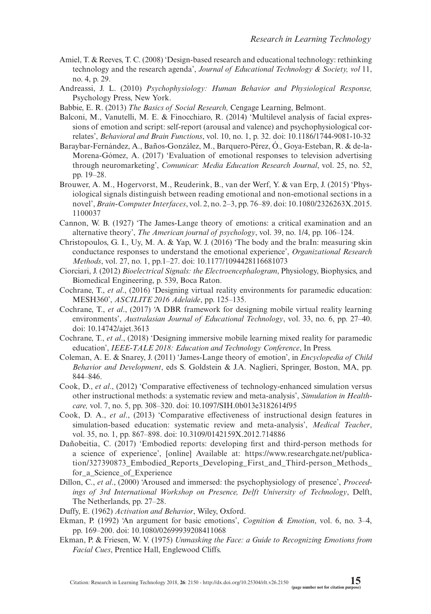- Amiel, T. & Reeves, T. C. (2008) 'Design-based research and educational technology: rethinking technology and the research agenda', *Journal of Educational Technology & Society, vol* 11, no. 4, p. 29.
- Andreassi, J. L. (2010) *Psychophysiology: Human Behavior and Physiological Response,* Psychology Press, New York.
- Babbie, E. R. (2013) *The Basics of Social Research,* Cengage Learning, Belmont.
- Balconi, M., Vanutelli, M. E. & Finocchiaro, R. (2014) 'Multilevel analysis of facial expressions of emotion and script: self-report (arousal and valence) and psychophysiological correlates', *Behavioral and Brain Functions*, vol. 10, no. 1, p. 32. doi: 10.1186/1744-9081-10-32
- Baraybar-Fernández, A., Baños-González, M., Barquero-Pérez, Ó., Goya-Esteban, R. & de-la-Morena-Gómez, A. (2017) 'Evaluation of emotional responses to television advertising through neuromarketing', *Comunicar: Media Education Research Journal*, vol. 25, no. 52, pp. 19–28.
- Brouwer, A. M., Hogervorst, M., Reuderink, B., van der Werf, Y. & van Erp, J. (2015) 'Physiological signals distinguish between reading emotional and non-emotional sections in a novel', *Brain-Computer Interfaces*, vol. 2, no. 2–3, pp. 76–89. doi: 10.1080/2326263X.2015. 1100037
- Cannon, W. B. (1927) 'The James-Lange theory of emotions: a critical examination and an alternative theory', *The American journal of psychology*, vol. 39, no. 1/4, pp. 106–124.
- Christopoulos, G. I., Uy, M. A. & Yap, W. J. (2016) 'The body and the braIn: measuring skin conductance responses to understand the emotional experience', *Organizational Research Methods*, vol. 27, no. 1, pp.1–27. doi: 10.1177/1094428116681073
- Ciorciari, J. (2012) *Bioelectrical Signals: the Electroencephalogram*, Physiology, Biophysics, and Biomedical Engineering, p. 539, Boca Raton.
- Cochrane, T., *et al*., (2016) 'Designing virtual reality environments for paramedic education: MESH360', *ASCILITE 2016 Adelaide*, pp. 125–135.
- Cochrane, T., *et al*., (2017) 'A DBR framework for designing mobile virtual reality learning environments', *Australasian Journal of Educational Technology*, vol. 33, no. 6, pp. 27–40. doi: 10.14742/ajet.3613
- Cochrane, T., *et al*., (2018) 'Designing immersive mobile learning mixed reality for paramedic education', *IEEE-TALE 2018: Education and Technology Conference*, In Press.
- Coleman, A. E. & Snarey, J. (2011) 'James-Lange theory of emotion', in *Encyclopedia of Child Behavior and Development*, eds S. Goldstein & J.A. Naglieri, Springer, Boston, MA, pp. 844–846.
- Cook, D., *et al*., (2012) 'Comparative effectiveness of technology-enhanced simulation versus other instructional methods: a systematic review and meta-analysis', *Simulation in Healthcare,* vol. 7, no. 5, pp. 308–320. doi: 10.1097/SIH.0b013e3182614f95
- Cook, D. A., *et al*., (2013) 'Comparative effectiveness of instructional design features in simulation-based education: systematic review and meta-analysis', *Medical Teacher*, vol. 35, no. 1, pp. 867–898. doi: 10.3109/0142159X.2012.714886
- Dañobeitia, C. (2017) 'Embodied reports: developing first and third-person methods for a science of experience', [online] Available at: [https://www.researchgate.net/publica](https://www.researchgate.net/publication/327390873_Embodied_Reports_Developing_First_and_Third-person_Methods_for_a_Science_of_Experience)[tion/327390873\\_Embodied\\_Reports\\_Developing\\_First\\_and\\_Third-person\\_Methods\\_](https://www.researchgate.net/publication/327390873_Embodied_Reports_Developing_First_and_Third-person_Methods_for_a_Science_of_Experience) for a Science of Experience
- Dillon, C., *et al*., (2000) 'Aroused and immersed: the psychophysiology of presence', *Proceedings of 3rd International Workshop on Presence, Delft University of Technology*, Delft, The Netherlands, pp. 27–28.
- Duffy, E. (1962) *Activation and Behavior*, Wiley, Oxford.
- Ekman, P. (1992) 'An argument for basic emotions', *Cognition & Emotion*, vol. 6, no. 3–4, pp. 169–200. doi: 10.1080/02699939208411068
- Ekman, P. & Friesen, W. V. (1975) *Unmasking the Face: a Guide to Recognizing Emotions from Facial Cues*, Prentice Hall, Englewood Cliffs.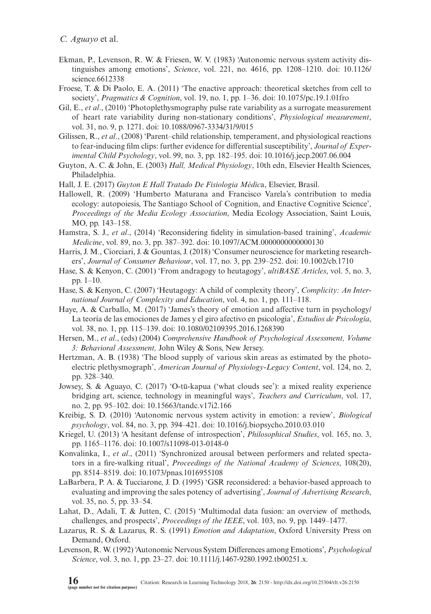- Ekman, P., Levenson, R. W. & Friesen, W. V. (1983) 'Autonomic nervous system activity distinguishes among emotions', *Science*, vol. 221, no. 4616, pp. 1208–1210. doi: 10.1126/ science.6612338
- Froese, T. & Di Paolo, E. A. (2011) 'The enactive approach: theoretical sketches from cell to society', *Pragmatics & Cognition*, vol. 19, no. 1, pp. 1–36. doi: 10.1075/pc.19.1.01fro
- Gil, E., *et al*., (2010) 'Photoplethysmography pulse rate variability as a surrogate measurement of heart rate variability during non-stationary conditions', *Physiological measurement*, vol. 31, no. 9, p. 1271. doi: 10.1088/0967-3334/31/9/015
- Gilissen, R., *et al*., (2008) 'Parent–child relationship, temperament, and physiological reactions to fear-inducing film clips: further evidence for differential susceptibility', *Journal of Experimental Child Psychology*, vol. 99, no. 3, pp. 182–195. doi: 10.1016/j.jecp.2007.06.004
- Guyton, A. C. & John, E. (2003) *Hall, Medical Physiology*, 10th edn, Elsevier Health Sciences, Philadelphia.
- Hall, J. E. (2017) *Guyton E Hall Tratado De Fisiologia Médic*a, Elsevier, Brasil.
- Hallowell, R. (2009) 'Humberto Maturana and Francisco Varela's contribution to media ecology: autopoiesis, The Santiago School of Cognition, and Enactive Cognitive Science', *Proceedings of the Media Ecology Association*, Media Ecology Association, Saint Louis, MO, pp. 143–158.
- Hamstra, S. J., *et al*., (2014) 'Reconsidering fidelity in simulation-based training', *Academic Medicine*, vol. 89, no. 3, pp. 387–392. doi: 10.1097/ACM.0000000000000130
- Harris, J. M., Ciorciari, J. & Gountas, J. (2018) 'Consumer neuroscience for marketing researchers', *Journal of Consumer Behaviour*, vol. 17, no. 3, pp. 239–252. doi: 10.1002/cb.1710
- Hase, S. & Kenyon, C. (2001) 'From andragogy to heutagogy', *ultiBASE Articles*, vol. 5, no. 3, pp. 1–10.
- Hase, S. & Kenyon, C. (2007) 'Heutagogy: A child of complexity theory', *Complicity: An International Journal of Complexity and Education*, vol. 4, no. 1, pp. 111–118.
- Haye, A. & Carballo, M. (2017) 'James's theory of emotion and affective turn in psychology/ La teoría de las emociones de James y el giro afectivo en psicología', *Estudios de Psicología*, vol. 38, no. 1, pp. 115–139. doi: 10.1080/02109395.2016.1268390
- Hersen, M., *et al*., (eds) (2004) *Comprehensive Handbook of Psychological Assessment, Volume 3: Behavioral Assessment,* John Wiley & Sons, New Jersey.
- Hertzman, A. B. (1938) 'The blood supply of various skin areas as estimated by the photoelectric plethysmograph', *American Journal of Physiology-Legacy Content*, vol. 124, no. 2, pp. 328–340.
- Jowsey, S. & Aguayo, C. (2017) 'O-tū-kapua ('what clouds see'): a mixed reality experience bridging art, science, technology in meaningful ways', *Teachers and Curriculum*, vol. 17, no. 2, pp. 95–102. doi: 10.15663/tandc.v17i2.166
- Kreibig, S. D. (2010) 'Autonomic nervous system activity in emotion: a review', *Biological psychology*, vol. 84, no. 3, pp. 394–421. doi: 10.1016/j.biopsycho.2010.03.010
- Kriegel, U. (2013) 'A hesitant defense of introspection', *Philosophical Studies*, vol. 165, no. 3, pp. 1165–1176. doi: 10.1007/s11098-013-0148-0
- Konvalinka, I., *et al*., (2011) 'Synchronized arousal between performers and related spectators in a fire-walking ritual', *Proceedings of the National Academy of Sciences*, 108(20), pp. 8514–8519. doi: 10.1073/pnas.1016955108
- LaBarbera, P. A. & Tucciarone, J. D. (1995) 'GSR reconsidered: a behavior-based approach to evaluating and improving the sales potency of advertising', *Journal of Advertising Research*, vol. 35, no. 5, pp. 33–54.
- Lahat, D., Adali, T. & Jutten, C. (2015) 'Multimodal data fusion: an overview of methods, challenges, and prospects', *Proceedings of the IEEE*, vol. 103, no. 9, pp. 1449–1477.
- Lazarus, R. S. & Lazarus, R. S. (1991) *Emotion and Adaptation*, Oxford University Press on Demand, Oxford.
- Levenson, R. W. (1992) 'Autonomic Nervous System Differences among Emotions', *Psychological Science*, vol. 3, no. 1, pp. 23–27. doi: 10.1111/j.1467-9280.1992.tb00251.x.